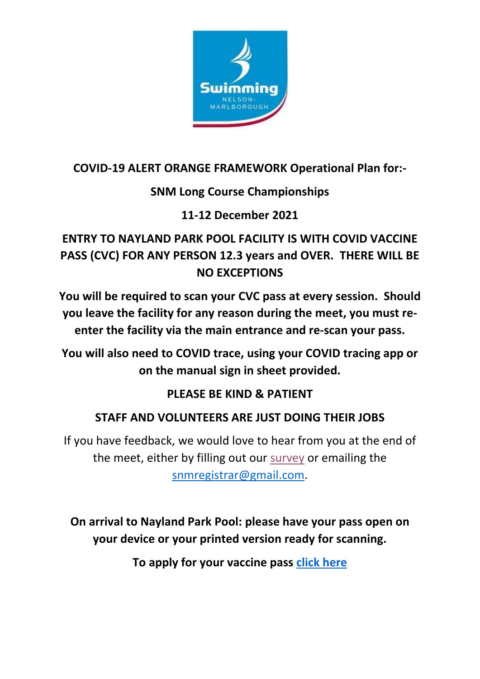

### **COVID-19 ALERT ORANGE FRAMEWORK Operational Plan for:-**

# **SNM Long Course Championships**

### **11-12 December 2021**

# **ENTRY TO NAYLAND PARK POOL FACILITY IS WITH COVID VACCINE PASS (CVC) FOR ANY PERSON 12.3 years and OVER. THERE WILL BE NO EXCEPTIONS**

**You will be required to scan your CVC pass at every session. Should you leave the facility for any reason during the meet, you must reenter the facility via the main entrance and re-scan your pass.**

**You will also need to COVID trace, using your COVID tracing app or on the manual sign in sheet provided.**

### **PLEASE BE KIND & PATIENT**

# **STAFF AND VOLUNTEERS ARE JUST DOING THEIR JOBS**

If you have feedback, we would love to hear from you at the end of the meet, either by filling out our [survey](https://docs.google.com/forms/d/e/1FAIpQLScdn8e-HM2PZa0pyHHo-3NxkJuqi0oyrOmUTTPMbPQxA1q-VA/viewform?usp=pp_url) or emailing the [snmregistrar@gmail.com.](mailto:snmregistrar@gmail.com)

**On arrival to Nayland Park Pool: please have your pass open on your device or your printed version ready for scanning.**

**To apply for your vaccine pass [click here](https://covid19.govt.nz/covid-19-vaccines/covid-19-vaccination-certificates/my-vaccine-pass/)**